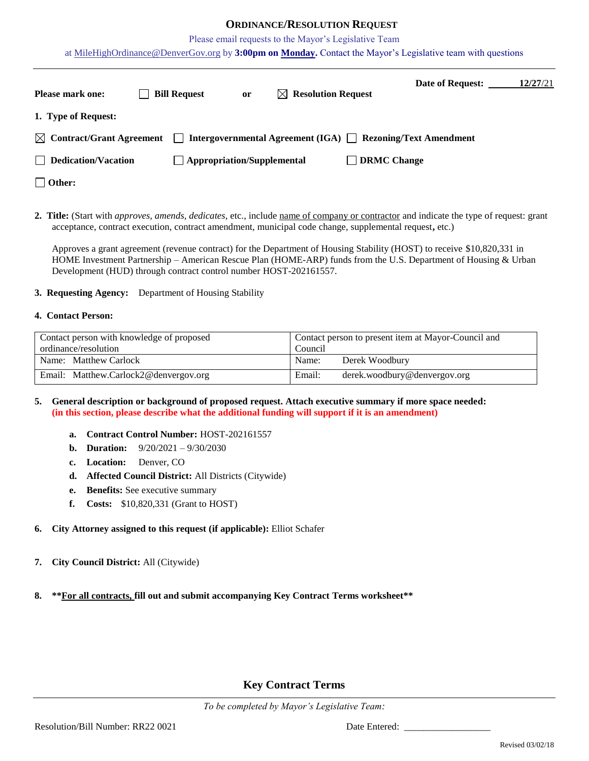## **ORDINANCE/RESOLUTION REQUEST**

Please email requests to the Mayor's Legislative Team

at [MileHighOrdinance@DenverGov.org](mailto:MileHighOrdinance@DenverGov.org) by **3:00pm on Monday.** Contact the Mayor's Legislative team with questions

| <b>Please mark one:</b>              | <b>Bill Request</b> | <sub>or</sub>                     | $\bowtie$ Resolution Request | Date of Request:                                                        | 12/27/21 |
|--------------------------------------|---------------------|-----------------------------------|------------------------------|-------------------------------------------------------------------------|----------|
| 1. Type of Request:                  |                     |                                   |                              |                                                                         |          |
| $\boxtimes$ Contract/Grant Agreement |                     |                                   |                              | $\Box$ Intergovernmental Agreement (IGA) $\Box$ Rezoning/Text Amendment |          |
| $\Box$ Dedication/Vacation           |                     | $\Box$ Appropriation/Supplemental |                              | $\Box$ DRMC Change                                                      |          |
| $\Box$ Other:                        |                     |                                   |                              |                                                                         |          |

**2. Title:** (Start with *approves, amends, dedicates*, etc., include name of company or contractor and indicate the type of request: grant acceptance, contract execution, contract amendment, municipal code change, supplemental request**,** etc.)

Approves a grant agreement (revenue contract) for the Department of Housing Stability (HOST) to receive \$10,820,331 in HOME Investment Partnership – American Rescue Plan (HOME-ARP) funds from the U.S. Department of Housing & Urban Development (HUD) through contract control number HOST-202161557.

#### **3. Requesting Agency:** Department of Housing Stability

#### **4. Contact Person:**

| Contact person with knowledge of proposed | Contact person to present item at Mayor-Council and |  |
|-------------------------------------------|-----------------------------------------------------|--|
| ordinance/resolution                      | Council                                             |  |
| Name: Matthew Carlock                     | Derek Woodbury<br>Name:                             |  |
| Email: Matthew.Carlock2@denvergov.org     | Email:<br>derek.woodbury@denvergov.org              |  |

### **5. General description or background of proposed request. Attach executive summary if more space needed: (in this section, please describe what the additional funding will support if it is an amendment)**

- **a. Contract Control Number:** HOST-202161557
- **b. Duration:** 9/20/2021 9/30/2030
- **c. Location:** Denver, CO
- **d. Affected Council District:** All Districts (Citywide)
- **e. Benefits:** See executive summary
- **f. Costs:** \$10,820,331 (Grant to HOST)
- **6. City Attorney assigned to this request (if applicable):** Elliot Schafer
- **7. City Council District:** All (Citywide)

## **8. \*\*For all contracts, fill out and submit accompanying Key Contract Terms worksheet\*\***

# **Key Contract Terms**